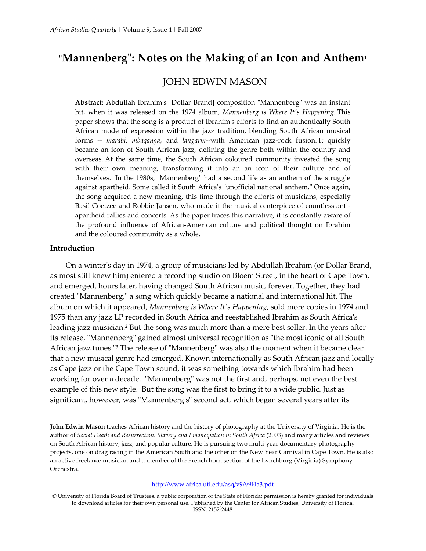# **"Mannenberg": Notes on the Making of an Icon and Anthe[m](http://www.africa.ufl.edu/asq/v9/v9i4a3.htm#_edn1)**<sup>1</sup>

# [JOHN EDWIN MASON](http://www.africa.ufl.edu/asq/v9/v9i4a3.htm#_ednauthors)

**Abstract:** Abdullah Ibrahim's [Dollar Brand] composition "Mannenberg" was an instant hit, when it was released on the 1974 album, *Mannenberg is Where It's Happening*. This paper shows that the song is a product of Ibrahim's efforts to find an authentically South African mode of expression within the jazz tradition, blending South African musical forms -- *marabi*, *mbaqanga*, and *langarm*--with American jazz-rock fusion. It quickly became an icon of South African jazz, defining the genre both within the country and overseas. At the same time, the South African coloured community invested the song with their own meaning, transforming it into an an icon of their culture and of themselves. In the 1980s, "Mannenberg" had a second life as an anthem of the struggle against apartheid. Some called it South Africa's "unofficial national anthem." Once again, the song acquired a new meaning, this time through the efforts of musicians, especially Basil Coetzee and Robbie Jansen, who made it the musical centerpiece of countless antiapartheid rallies and concerts. As the paper traces this narrative, it is constantly aware of the profound influence of African-American culture and political thought on Ibrahim and the coloured community as a whole.

#### **Introduction**

On a winter's day in 1974, a group of musicians led by Abdullah Ibrahim (or Dollar Brand, as most still knew him) entered a recording studio on Bloem Street, in the heart of Cape Town, and emerged, hours later, having changed South African music, forever. Together, they had created "Mannenberg," a song which quickly became a national and international hit. The album on which it appeared, *Mannenberg is Where It's Happening*, sold more copies in 1974 and 1975 than any jazz LP recorded in South Africa and reestablished Ibrahim as South Africa's leading jazz musician[.2](http://www.africa.ufl.edu/asq/v9/v9i4a3.htm#_edn2) But the song was much more than a mere best seller. In the years after its release, "Mannenberg" gained almost universal recognition as "the most iconic of all South African jazz tunes.["3](http://www.africa.ufl.edu/asq/v9/v9i4a3.htm#_edn3) The release of "Mannenberg" was also the moment when it became clear that a new musical genre had emerged. Known internationally as South African jazz and locally as Cape jazz or the Cape Town sound, it was something towards which Ibrahim had been working for over a decade. "Mannenberg" was not the first and, perhaps, not even the best example of this new style. But the song was the first to bring it to a wide public. Just as significant, however, was "Mannenberg's" second act, which began several years after its

**[John Edwin Mason](http://www.africa.ufl.edu/asq/v9/v9i4a3.htm#_ednauthors)** teaches African history and the history of photography at the University of Virginia. He is the author of *Social Death and Resurrection: Slavery and Emancipation in South Africa* (2003) and many articles and reviews on South African history, jazz, and popular culture. He is pursuing two multi-year documentary photography projects, one on drag racing in the American South and the other on the New Year Carnival in Cape Town. He is also an active freelance musician and a member of the French horn section of the Lynchburg (Virginia) Symphony Orchestra.

#### <http://www.africa.ufl.edu/asq/v9/v9i4a3.pdf>

<sup>©</sup> University of Florida Board of Trustees, a public corporation of the State of Florida; permission is hereby granted for individuals to download articles for their own personal use. Published by the Center for African Studies, University of Florida. ISSN: 2152-2448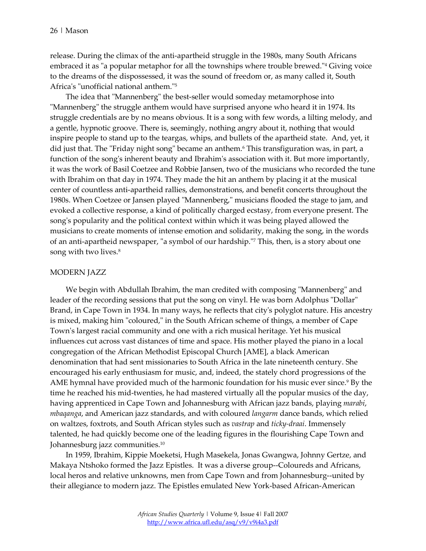release. During the climax of the anti-apartheid struggle in the 1980s, many South Africans embraced it as "a popular metaphor for all the townships where trouble brewed.["4](http://www.africa.ufl.edu/asq/v9/v9i4a3.htm#_edn4) Giving voice to the dreams of the dispossessed, it was the sound of freedom or, as many called it, South Africa's "unofficial national anthem.["5](http://www.africa.ufl.edu/asq/v9/v9i4a3.htm#_edn5)

The idea that "Mannenberg" the best-seller would someday metamorphose into "Mannenberg" the struggle anthem would have surprised anyone who heard it in 1974. Its struggle credentials are by no means obvious. It is a song with few words, a lilting melody, and a gentle, hypnotic groove. There is, seemingly, nothing angry about it, nothing that would inspire people to stand up to the teargas, whips, and bullets of the apartheid state. And, yet, it did just that. The "Friday night song" became an anthem.<sup>6</sup> This transfiguration was, in part, a function of the song's inherent beauty and Ibrahim's association with it. But more importantly, it was the work of Basil Coetzee and Robbie Jansen, two of the musicians who recorded the tune with Ibrahim on that day in 1974. They made the hit an anthem by placing it at the musical center of countless anti-apartheid rallies, demonstrations, and benefit concerts throughout the 1980s. When Coetzee or Jansen played "Mannenberg," musicians flooded the stage to jam, and evoked a collective response, a kind of politically charged ecstasy, from everyone present. The song's popularity and the political context within which it was being played allowed the musicians to create moments of intense emotion and solidarity, making the song, in the words of an anti-apartheid newspaper, "a symbol of our hardship.["7](http://www.africa.ufl.edu/asq/v9/v9i4a3.htm#_edn7) This, then, is a story about one song with two lives.<sup>8</sup>

#### MODERN JAZZ

We begin with Abdullah Ibrahim, the man credited with composing "Mannenberg" and leader of the recording sessions that put the song on vinyl. He was born Adolphus "Dollar" Brand, in Cape Town in 1934. In many ways, he reflects that city's polyglot nature. His ancestry is mixed, making him "coloured," in the South African scheme of things, a member of Cape Town's largest racial community and one with a rich musical heritage. Yet his musical influences cut across vast distances of time and space. His mother played the piano in a local congregation of the African Methodist Episcopal Church [AME], a black American denomination that had sent missionaries to South Africa in the late nineteenth century. She encouraged his early enthusiasm for music, and, indeed, the stately chord progressions of the AME hymnal have provided much of the harmonic foundation for his music ever since.<sup>9</sup> By the time he reached his mid-twenties, he had mastered virtually all the popular musics of the day, having apprenticed in Cape Town and Johannesburg with African jazz bands, playing *marabi*, *mbaqanga*, and American jazz standards, and with coloured *langarm* dance bands, which relied on waltzes, foxtrots, and South African styles such as *vastrap* and *ticky-draai*. Immensely talented, he had quickly become one of the leading figures in the flourishing Cape Town and Johannesburg jazz communities[.10](http://www.africa.ufl.edu/asq/v9/v9i4a3.htm#_edn10)

In 1959, Ibrahim, Kippie Moeketsi, Hugh Masekela, Jonas Gwangwa, Johnny Gertze, and Makaya Ntshoko formed the Jazz Epistles. It was a diverse group--Coloureds and Africans, local heros and relative unknowns, men from Cape Town and from Johannesburg--united by their allegiance to modern jazz. The Epistles emulated New York-based African-American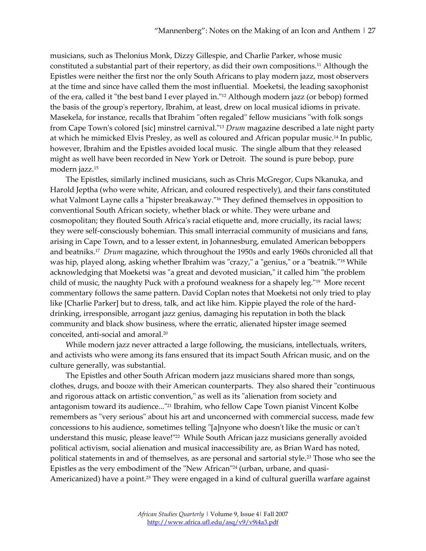musicians, such as Thelonius Monk, Dizzy Gillespie, and Charlie Parker, whose music constituted a substantial part of their repertory, as did their own compositions[.11](http://www.africa.ufl.edu/asq/v9/v9i4a3.htm#_edn11) Although the Epistles were neither the first nor the only South Africans to play modern jazz, most observers at the time and since have called them the most influential. Moeketsi, the leading saxophonist of the era, called it "the best band I ever played in.["12](http://www.africa.ufl.edu/asq/v9/v9i4a3.htm#_edn12) Although modern jazz (or bebop) formed the basis of the group's repertory, Ibrahim, at least, drew on local musical idioms in private. Masekela, for instance, recalls that Ibrahim "often regaled" fellow musicians "with folk songs from Cape Town's colored [sic] minstrel carnival.["13](http://www.africa.ufl.edu/asq/v9/v9i4a3.htm#_edn13) *Drum* magazine described a late night party at which he mimicked Elvis Presley, as well as coloured and African popular music.<sup>14</sup> In public, however, Ibrahim and the Epistles avoided local music. The single album that they released might as well have been recorded in New York or Detroit. The sound is pure bebop, pure modern jazz[.15](http://www.africa.ufl.edu/asq/v9/v9i4a3.htm#_edn15)

The Epistles, similarly inclined musicians, such as Chris McGregor, Cups Nkanuka, and Harold Jeptha (who were white, African, and coloured respectively), and their fans constituted what Valmont Layne calls a "hipster breakaway.["16](http://www.africa.ufl.edu/asq/v9/v9i4a3.htm#_edn16) They defined themselves in opposition to conventional South African society, whether black or white. They were urbane and cosmopolitan; they flouted South Africa's racial etiquette and, more crucially, its racial laws; they were self-consciously bohemian. This small interracial community of musicians and fans, arising in Cape Town, and to a lesser extent, in Johannesburg, emulated American beboppers and beatniks[.17](http://www.africa.ufl.edu/asq/v9/v9i4a3.htm#_edn17) *Drum* magazine, which throughout the 1950s and early 1960s chronicled all that was hip, played along, asking whether Ibrahim was "crazy," a "genius," or a "beatnik."<sup>18</sup> While acknowledging that Moeketsi was "a great and devoted musician," it called him "the problem child of music, the naughty Puck with a profound weakness for a shapely leg.["19](http://www.africa.ufl.edu/asq/v9/v9i4a3.htm#_edn19) More recent commentary follows the same pattern. David Coplan notes that Moeketsi not only tried to play like [Charlie Parker] but to dress, talk, and act like him. Kippie played the role of the harddrinking, irresponsible, arrogant jazz genius, damaging his reputation in both the black community and black show business, where the erratic, alienated hipster image seemed conceited, anti-social and amoral[.20](http://www.africa.ufl.edu/asq/v9/v9i4a3.htm#_edn20)

While modern jazz never attracted a large following, the musicians, intellectuals, writers, and activists who were among its fans ensured that its impact South African music, and on the culture generally, was substantial.

The Epistles and other South African modern jazz musicians shared more than songs, clothes, drugs, and booze with their American counterparts. They also shared their "continuous and rigorous attack on artistic convention," as well as its "alienation from society and antagonism toward its audience...["21](http://www.africa.ufl.edu/asq/v9/v9i4a3.htm#_edn21) Ibrahim, who fellow Cape Town pianist Vincent Kolbe remembers as "very serious" about his art and unconcerned with commercial success, made few concessions to his audience, sometimes telling "[a]nyone who doesn't like the music or can't understand this music, please leave!"<sup>22</sup> While South African jazz musicians generally avoided political activism, social alienation and musical inaccessibility are, as Brian Ward has noted, political statements in and of themselves, as are personal and sartorial style.<sup>23</sup> Those who see the Epistles as the very embodiment of the "New African["24](http://www.africa.ufl.edu/asq/v9/v9i4a3.htm#_edn24) (urban, urbane, and quasi-Americanized) have a point.<sup>25</sup> They were engaged in a kind of cultural guerilla warfare against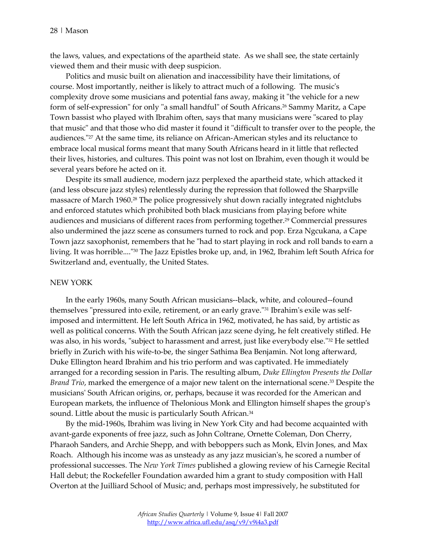the laws, values, and expectations of the apartheid state. As we shall see, the state certainly viewed them and their music with deep suspicion.

Politics and music built on alienation and inaccessibility have their limitations, of course. Most importantly, neither is likely to attract much of a following. The music's complexity drove some musicians and potential fans away, making it "the vehicle for a new form of self-expression" for only "a small handful" of South Africans.<sup>26</sup> Sammy Maritz, a Cape Town bassist who played with Ibrahim often, says that many musicians were "scared to play that music" and that those who did master it found it "difficult to transfer over to the people, the audiences.["27](http://www.africa.ufl.edu/asq/v9/v9i4a3.htm#_edn27) At the same time, its reliance on African-American styles and its reluctance to embrace local musical forms meant that many South Africans heard in it little that reflected their lives, histories, and cultures. This point was not lost on Ibrahim, even though it would be several years before he acted on it.

Despite its small audience, modern jazz perplexed the apartheid state, which attacked it (and less obscure jazz styles) relentlessly during the repression that followed the Sharpville massacre of March 196[0.28](http://www.africa.ufl.edu/asq/v9/v9i4a3.htm#_edn28) The police progressively shut down racially integrated nightclubs and enforced statutes which prohibited both black musicians from playing before white audiences and musicians of different races from performing together[.29](http://www.africa.ufl.edu/asq/v9/v9i4a3.htm#_edn29) Commercial pressures also undermined the jazz scene as consumers turned to rock and pop. Erza Ngcukana, a Cape Town jazz saxophonist, remembers that he "had to start playing in rock and roll bands to earn a living. It was horrible....["30](http://www.africa.ufl.edu/asq/v9/v9i4a3.htm#_edn30) The Jazz Epistles broke up, and, in 1962, Ibrahim left South Africa for Switzerland and, eventually, the United States.

#### NEW YORK

In the early 1960s, many South African musicians--black, white, and coloured--found themselves "pressured into exile, retirement, or an early grave.["31](http://www.africa.ufl.edu/asq/v9/v9i4a3.htm#_edn31) Ibrahim's exile was selfimposed and intermittent. He left South Africa in 1962, motivated, he has said, by artistic as well as political concerns. With the South African jazz scene dying, he felt creatively stifled. He was also, in his words, "subject to harassment and arrest, just like everybody else."<sup>32</sup> He settled briefly in Zurich with his wife-to-be, the singer Sathima Bea Benjamin. Not long afterward, Duke Ellington heard Ibrahim and his trio perform and was captivated. He immediately arranged for a recording session in Paris. The resulting album, *Duke Ellington Presents the Dollar Brand Trio*, marked the emergence of a major new talent on the international scene[.33](http://www.africa.ufl.edu/asq/v9/v9i4a3.htm#_edn33) Despite the musicians' South African origins, or, perhaps, because it was recorded for the American and European markets, the influence of Thelonious Monk and Ellington himself shapes the group's sound. Little about the music is particularly South African.<sup>34</sup>

By the mid-1960s, Ibrahim was living in New York City and had become acquainted with avant-garde exponents of free jazz, such as John Coltrane, Ornette Coleman, Don Cherry, Pharaoh Sanders, and Archie Shepp, and with beboppers such as Monk, Elvin Jones, and Max Roach. Although his income was as unsteady as any jazz musician's, he scored a number of professional successes. The *New York Times* published a glowing review of his Carnegie Recital Hall debut; the Rockefeller Foundation awarded him a grant to study composition with Hall Overton at the Juilliard School of Music; and, perhaps most impressively, he substituted for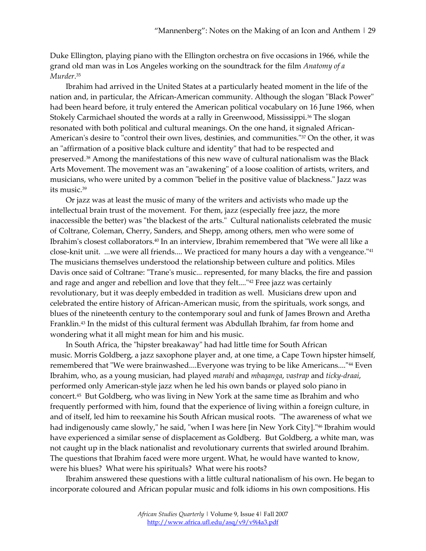Duke Ellington, playing piano with the Ellington orchestra on five occasions in 1966, while the grand old man was in Los Angeles working on the soundtrack for the film *Anatomy of a Murder*. [35](http://www.africa.ufl.edu/asq/v9/v9i4a3.htm#_edn35)

Ibrahim had arrived in the United States at a particularly heated moment in the life of the nation and, in particular, the African-American community. Although the slogan "Black Power" had been heard before, it truly entered the American political vocabulary on 16 June 1966, when Stokely Carmichael shouted the words at a rally in Greenwood, Mississippi[.36](http://www.africa.ufl.edu/asq/v9/v9i4a3.htm#_edn36) The slogan resonated with both political and cultural meanings. On the one hand, it signaled African-American's desire to "control their own lives, destinies, and communities.["37](http://www.africa.ufl.edu/asq/v9/v9i4a3.htm#_edn37) On the other, it was an "affirmation of a positive black culture and identity" that had to be respected and preserved[.38](http://www.africa.ufl.edu/asq/v9/v9i4a3.htm#_edn38) Among the manifestations of this new wave of cultural nationalism was the Black Arts Movement. The movement was an "awakening" of a loose coalition of artists, writers, and musicians, who were united by a common "belief in the positive value of blackness." Jazz was its music[.39](http://www.africa.ufl.edu/asq/v9/v9i4a3.htm#_edn39)

Or jazz was at least the music of many of the writers and activists who made up the intellectual brain trust of the movement. For them, jazz (especially free jazz, the more inaccessible the better) was "the blackest of the arts." Cultural nationalists celebrated the music of Coltrane, Coleman, Cherry, Sanders, and Shepp, among others, men who were some of Ibrahim's closest collaborator[s.40](http://www.africa.ufl.edu/asq/v9/v9i4a3.htm#_edn40) In an interview, Ibrahim remembered that "We were all like a close-knit unit. ...we were all friends.... We practiced for many hours a day with a vengeance.["41](http://www.africa.ufl.edu/asq/v9/v9i4a3.htm#_edn41) The musicians themselves understood the relationship between culture and politics. Miles Davis once said of Coltrane: "Trane's music... represented, for many blacks, the fire and passion and rage and anger and rebellion and love that they felt...."<sup>42</sup> Free jazz was certainly revolutionary, but it was deeply embedded in tradition as well. Musicians drew upon and celebrated the entire history of African-American music, from the spirituals, work songs, and blues of the nineteenth century to the contemporary soul and funk of James Brown and Aretha Franklin[.43](http://www.africa.ufl.edu/asq/v9/v9i4a3.htm#_edn43) In the midst of this cultural ferment was Abdullah Ibrahim, far from home and wondering what it all might mean for him and his music.

In South Africa, the "hipster breakaway" had had little time for South African music. Morris Goldberg, a jazz saxophone player and, at one time, a Cape Town hipster himself, remembered that "We were brainwashed....Everyone was trying to be like Americans....["44](http://www.africa.ufl.edu/asq/v9/v9i4a3.htm#_edn44) Even Ibrahim, who, as a young musician, had played *marabi* and *mbaqanga*, *vastrap* and *ticky-draai*, performed only American-style jazz when he led his own bands or played solo piano in concert[.45](http://www.africa.ufl.edu/asq/v9/v9i4a3.htm#_edn45) But Goldberg, who was living in New York at the same time as Ibrahim and who frequently performed with him, found that the experience of living within a foreign culture, in and of itself, led him to reexamine his South African musical roots. "The awareness of what we had indigenously came slowly," he said, "when I was here [in New York City]."<sup>46</sup> Ibrahim would have experienced a similar sense of displacement as Goldberg. But Goldberg, a white man, was not caught up in the black nationalist and revolutionary currents that swirled around Ibrahim. The questions that Ibrahim faced were more urgent. What, he would have wanted to know, were his blues? What were his spirituals? What were his roots?

Ibrahim answered these questions with a little cultural nationalism of his own. He began to incorporate coloured and African popular music and folk idioms in his own compositions. His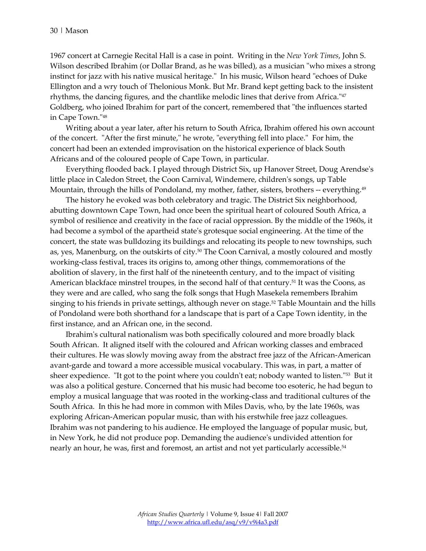1967 concert at Carnegie Recital Hall is a case in point. Writing in the *New York Times*, John S. Wilson described Ibrahim (or Dollar Brand, as he was billed), as a musician "who mixes a strong instinct for jazz with his native musical heritage." In his music, Wilson heard "echoes of Duke Ellington and a wry touch of Thelonious Monk. But Mr. Brand kept getting back to the insistent rhythms, the dancing figures, and the chantlike melodic lines that derive from Africa.["47](http://www.africa.ufl.edu/asq/v9/v9i4a3.htm#_edn47) Goldberg, who joined Ibrahim for part of the concert, remembered that "the influences started in Cape Town.["48](http://www.africa.ufl.edu/asq/v9/v9i4a3.htm#_edn48)

Writing about a year later, after his return to South Africa, Ibrahim offered his own account of the concert. "After the first minute," he wrote, "everything fell into place." For him, the concert had been an extended improvisation on the historical experience of black South Africans and of the coloured people of Cape Town, in particular.

Everything flooded back. I played through District Six, up Hanover Street, Doug Arendse's little place in Caledon Street, the Coon Carnival, Windemere, children's songs, up Table Mountain, through the hills of Pondoland, my mother, father, sisters, brothers -- everything.<sup>49</sup>

The history he evoked was both celebratory and tragic. The District Six neighborhood, abutting downtown Cape Town, had once been the spiritual heart of coloured South Africa, a symbol of resilience and creativity in the face of racial oppression. By the middle of the 1960s, it had become a symbol of the apartheid state's grotesque social engineering. At the time of the concert, the state was bulldozing its buildings and relocating its people to new townships, such as, yes, Manenburg, on the outskirts of city.<sup>50</sup> The Coon Carnival, a mostly coloured and mostly working-class festival, traces its origins to, among other things, commemorations of the abolition of slavery, in the first half of the nineteenth century, and to the impact of visiting American blackface minstrel troupes, in the second half of that century.<sup>51</sup> It was the Coons, as they were and are called, who sang the folk songs that Hugh Masekela remembers Ibrahim singing to his friends in private settings, although never on stage. $52$  Table Mountain and the hills of Pondoland were both shorthand for a landscape that is part of a Cape Town identity, in the first instance, and an African one, in the second.

Ibrahim's cultural nationalism was both specifically coloured and more broadly black South African. It aligned itself with the coloured and African working classes and embraced their cultures. He was slowly moving away from the abstract free jazz of the African-American avant-garde and toward a more accessible musical vocabulary. This was, in part, a matter of sheer expedience. "It got to the point where you couldn't eat; nobody wanted to listen.["53](http://www.africa.ufl.edu/asq/v9/v9i4a3.htm#_edn53) But it was also a political gesture. Concerned that his music had become too esoteric, he had begun to employ a musical language that was rooted in the working-class and traditional cultures of the South Africa. In this he had more in common with Miles Davis, who, by the late 1960s, was exploring African-American popular music, than with his erstwhile free jazz colleagues. Ibrahim was not pandering to his audience. He employed the language of popular music, but, in New York, he did not produce pop. Demanding the audience's undivided attention for nearly an hour, he was, first and foremost, an artist and not yet particularly accessible.<sup>54</sup>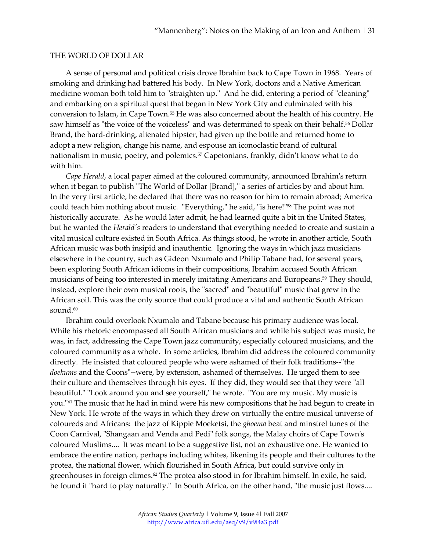#### THE WORLD OF DOLLAR

A sense of personal and political crisis drove Ibrahim back to Cape Town in 1968. Years of smoking and drinking had battered his body. In New York, doctors and a Native American medicine woman both told him to "straighten up." And he did, entering a period of "cleaning" and embarking on a spiritual quest that began in New York City and culminated with his conversion to Islam, in Cape Town[.55](http://www.africa.ufl.edu/asq/v9/v9i4a3.htm#_edn55) He was also concerned about the health of his country. He saw himself as "the voice of the voiceless" and was determined to speak on their behalf.<sup>56</sup> Dollar Brand, the hard-drinking, alienated hipster, had given up the bottle and returned home to adopt a new religion, change his name, and espouse an iconoclastic brand of cultural nationalism in music, poetry, and polemics[.57](http://www.africa.ufl.edu/asq/v9/v9i4a3.htm#_edn57) Capetonians, frankly, didn't know what to do with him.

*Cape Herald*, a local paper aimed at the coloured community, announced Ibrahim's return when it began to publish "The World of Dollar [Brand]," a series of articles by and about him. In the very first article, he declared that there was no reason for him to remain abroad; America could teach him nothing about music. "Everything," he said, "is here!["58](http://www.africa.ufl.edu/asq/v9/v9i4a3.htm#_edn58) The point was not historically accurate. As he would later admit, he had learned quite a bit in the United States, but he wanted the *Herald's* readers to understand that everything needed to create and sustain a vital musical culture existed in South Africa. As things stood, he wrote in another article, South African music was both insipid and inauthentic. Ignoring the ways in which jazz musicians elsewhere in the country, such as Gideon Nxumalo and Philip Tabane had, for several years, been exploring South African idioms in their compositions, Ibrahim accused South African musicians of being too interested in merely imitating Americans and Europeans[.59](http://www.africa.ufl.edu/asq/v9/v9i4a3.htm#_edn59) They should, instead, explore their own musical roots, the "sacred" and "beautiful" music that grew in the African soil. This was the only source that could produce a vital and authentic South African sound.<sup>60</sup>

Ibrahim could overlook Nxumalo and Tabane because his primary audience was local. While his rhetoric encompassed all South African musicians and while his subject was music, he was, in fact, addressing the Cape Town jazz community, especially coloured musicians, and the coloured community as a whole. In some articles, Ibrahim did address the coloured community directly. He insisted that coloured people who were ashamed of their folk traditions--"the *doekums* and the Coons"--were, by extension, ashamed of themselves. He urged them to see their culture and themselves through his eyes. If they did, they would see that they were "all beautiful." "Look around you and see yourself," he wrote. "You are my music. My music is you."<sup>61</sup> The music that he had in mind were his new compositions that he had begun to create in New York. He wrote of the ways in which they drew on virtually the entire musical universe of coloureds and Africans: the jazz of Kippie Moeketsi, the *ghoema* beat and minstrel tunes of the Coon Carnival, "Shangaan and Venda and Pedi" folk songs, the Malay choirs of Cape Town's coloured Muslims.... It was meant to be a suggestive list, not an exhaustive one. He wanted to embrace the entire nation, perhaps including whites, likening its people and their cultures to the protea, the national flower, which flourished in South Africa, but could survive only in greenhouses in foreign climes[.62](http://www.africa.ufl.edu/asq/v9/v9i4a3.htm#_edn62) The protea also stood in for Ibrahim himself. In exile, he said, he found it "hard to play naturally." In South Africa, on the other hand, "the music just flows....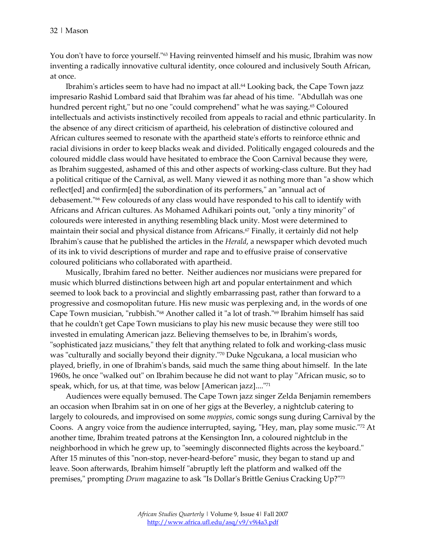You don't have to force yourself."<sup>63</sup> Having reinvented himself and his music, Ibrahim was now inventing a radically innovative cultural identity, once coloured and inclusively South African, at once.

Ibrahim's articles seem to have had no impact at all[.64](http://www.africa.ufl.edu/asq/v9/v9i4a3.htm#_edn64) Looking back, the Cape Town jazz impresario Rashid Lombard said that Ibrahim was far ahead of his time. "Abdullah was one hundred percent right," but no one "could comprehend" what he was saying.<sup>65</sup> Coloured intellectuals and activists instinctively recoiled from appeals to racial and ethnic particularity. In the absence of any direct criticism of apartheid, his celebration of distinctive coloured and African cultures seemed to resonate with the apartheid state's efforts to reinforce ethnic and racial divisions in order to keep blacks weak and divided. Politically engaged coloureds and the coloured middle class would have hesitated to embrace the Coon Carnival because they were, as Ibrahim suggested, ashamed of this and other aspects of working-class culture. But they had a political critique of the Carnival, as well. Many viewed it as nothing more than "a show which reflect[ed] and confirm[ed] the subordination of its performers," an "annual act of debasement.["66](http://www.africa.ufl.edu/asq/v9/v9i4a3.htm#_edn66) Few coloureds of any class would have responded to his call to identify with Africans and African cultures. As Mohamed Adhikari points out, "only a tiny minority" of coloureds were interested in anything resembling black unity. Most were determined to maintain their social and physical distance from Africans.<sup>67</sup> Finally, it certainly did not help Ibrahim's cause that he published the articles in the *Herald*, a newspaper which devoted much of its ink to vivid descriptions of murder and rape and to effusive praise of conservative coloured politicians who collaborated with apartheid.

Musically, Ibrahim fared no better. Neither audiences nor musicians were prepared for music which blurred distinctions between high art and popular entertainment and which seemed to look back to a provincial and slightly embarrassing past, rather than forward to a progressive and cosmopolitan future. His new music was perplexing and, in the words of one Cape Town musician, "rubbish.["68](http://www.africa.ufl.edu/asq/v9/v9i4a3.htm#_edn68) Another called it "a lot of trash.["69](http://www.africa.ufl.edu/asq/v9/v9i4a3.htm#_edn69) Ibrahim himself has said that he couldn't get Cape Town musicians to play his new music because they were still too invested in emulating American jazz. Believing themselves to be, in Ibrahim's words, "sophisticated jazz musicians," they felt that anything related to folk and working-class music was "culturally and socially beyond their dignity.["70](http://www.africa.ufl.edu/asq/v9/v9i4a3.htm#_edn70) Duke Ngcukana, a local musician who played, briefly, in one of Ibrahim's bands, said much the same thing about himself. In the late 1960s, he once "walked out" on Ibrahim because he did not want to play "African music, so to speak, which, for us, at that time, was below [American jazz]....["71](http://www.africa.ufl.edu/asq/v9/v9i4a3.htm#_edn71)

Audiences were equally bemused. The Cape Town jazz singer Zelda Benjamin remembers an occasion when Ibrahim sat in on one of her gigs at the Beverley, a nightclub catering to largely to coloureds, and improvised on some *moppies*, comic songs sung during Carnival by the Coons. A angry voice from the audience interrupted, saying, "Hey, man, play some music."<sup>72</sup> At another time, Ibrahim treated patrons at the Kensington Inn, a coloured nightclub in the neighborhood in which he grew up, to "seemingly disconnected flights across the keyboard." After 15 minutes of this "non-stop, never-heard-before" music, they began to stand up and leave. Soon afterwards, Ibrahim himself "abruptly left the platform and walked off the premises," prompting *Drum* magazine to ask "Is Dollar's Brittle Genius Cracking Up?["73](http://www.africa.ufl.edu/asq/v9/v9i4a3.htm#_edn73)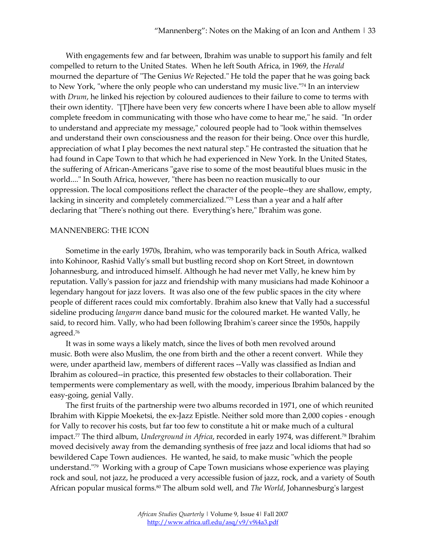With engagements few and far between, Ibrahim was unable to support his family and felt compelled to return to the United States. When he left South Africa, in 1969, the *Herald* mourned the departure of "The Genius *We* Rejected." He told the paper that he was going back to New York, "where the only people who can understand my music live."<sup>74</sup> In an interview with *Drum*, he linked his rejection by coloured audiences to their failure to come to terms with their own identity. "[T]here have been very few concerts where I have been able to allow myself complete freedom in communicating with those who have come to hear me," he said. "In order to understand and appreciate my message," coloured people had to "look within themselves and understand their own consciousness and the reason for their being. Once over this hurdle, appreciation of what I play becomes the next natural step." He contrasted the situation that he had found in Cape Town to that which he had experienced in New York. In the United States, the suffering of African-Americans "gave rise to some of the most beautiful blues music in the world...." In South Africa, however, "there has been no reaction musically to our oppression. The local compositions reflect the character of the people--they are shallow, empty, lacking in sincerity and completely commercialized.["75](http://www.africa.ufl.edu/asq/v9/v9i4a3.htm#_edn75) Less than a year and a half after declaring that "There's nothing out there. Everything's here," Ibrahim was gone.

#### MANNENBERG: THE ICON

Sometime in the early 1970s, Ibrahim, who was temporarily back in South Africa, walked into Kohinoor, Rashid Vally's small but bustling record shop on Kort Street, in downtown Johannesburg, and introduced himself. Although he had never met Vally, he knew him by reputation. Vally's passion for jazz and friendship with many musicians had made Kohinoor a legendary hangout for jazz lovers. It was also one of the few public spaces in the city where people of different races could mix comfortably. Ibrahim also knew that Vally had a successful sideline producing *langarm* dance band music for the coloured market. He wanted Vally, he said, to record him. Vally, who had been following Ibrahim's career since the 1950s, happily agreed[.76](http://www.africa.ufl.edu/asq/v9/v9i4a3.htm#_edn76)

It was in some ways a likely match, since the lives of both men revolved around music. Both were also Muslim, the one from birth and the other a recent convert. While they were, under apartheid law, members of different races --Vally was classified as Indian and Ibrahim as coloured--in practice, this presented few obstacles to their collaboration. Their temperments were complementary as well, with the moody, imperious Ibrahim balanced by the easy-going, genial Vally.

The first fruits of the partnership were two albums recorded in 1971, one of which reunited Ibrahim with Kippie Moeketsi, the ex-Jazz Epistle. Neither sold more than 2,000 copies - enough for Vally to recover his costs, but far too few to constitute a hit or make much of a cultural impact[.77](http://www.africa.ufl.edu/asq/v9/v9i4a3.htm#_edn77) The third album, *Underground in Africa*, recorded in early 1974, was different[.78](http://www.africa.ufl.edu/asq/v9/v9i4a3.htm#_edn78) Ibrahim moved decisively away from the demanding synthesis of free jazz and local idioms that had so bewildered Cape Town audiences. He wanted, he said, to make music "which the people understand.["79](http://www.africa.ufl.edu/asq/v9/v9i4a3.htm#_edn79) Working with a group of Cape Town musicians whose experience was playing rock and soul, not jazz, he produced a very accessible fusion of jazz, rock, and a variety of South African popular musical form[s.80](http://www.africa.ufl.edu/asq/v9/v9i4a3.htm#_edn80) The album sold well, and *The World*, Johannesburg's largest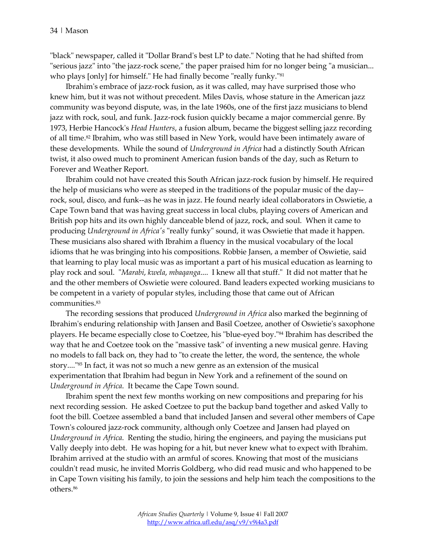"black" newspaper, called it "Dollar Brand's best LP to date." Noting that he had shifted from "serious jazz" into "the jazz-rock scene," the paper praised him for no longer being "a musician... who plays [only] for himself." He had finally become "really funky."<sup>81</sup>

Ibrahim's embrace of jazz-rock fusion, as it was called, may have surprised those who knew him, but it was not without precedent. Miles Davis, whose stature in the American jazz community was beyond dispute, was, in the late 1960s, one of the first jazz musicians to blend jazz with rock, soul, and funk. Jazz-rock fusion quickly became a major commercial genre. By 1973, Herbie Hancock's *Head Hunters*, a fusion album, became the biggest selling jazz recording of all time[.82](http://www.africa.ufl.edu/asq/v9/v9i4a3.htm#_edn82) Ibrahim, who was still based in New York, would have been intimately aware of these developments. While the sound of *Underground in Africa* had a distinctly South African twist, it also owed much to prominent American fusion bands of the day, such as Return to Forever and Weather Report.

Ibrahim could not have created this South African jazz-rock fusion by himself. He required the help of musicians who were as steeped in the traditions of the popular music of the day- rock, soul, disco, and funk--as he was in jazz. He found nearly ideal collaborators in Oswietie, a Cape Town band that was having great success in local clubs, playing covers of American and British pop hits and its own highly danceable blend of jazz, rock, and soul. When it came to producing *Underground in Africa's* "really funky" sound, it was Oswietie that made it happen. These musicians also shared with Ibrahim a fluency in the musical vocabulary of the local idioms that he was bringing into his compositions. Robbie Jansen, a member of Oswietie, said that learning to play local music was as important a part of his musical education as learning to play rock and soul. "*Marabi*, *kwela*, *mbaqanga*.... I knew all that stuff." It did not matter that he and the other members of Oswietie were coloured. Band leaders expected working musicians to be competent in a variety of popular styles, including those that came out of African communities[.83](http://www.africa.ufl.edu/asq/v9/v9i4a3.htm#_edn83)

The recording sessions that produced *Underground in Africa* also marked the beginning of Ibrahim's enduring relationship with Jansen and Basil Coetzee, another of Oswietie's saxophone players. He became especially close to Coetzee, his "blue-eyed boy.["84](http://www.africa.ufl.edu/asq/v9/v9i4a3.htm#_edn84) Ibrahim has described the way that he and Coetzee took on the "massive task" of inventing a new musical genre. Having no models to fall back on, they had to "to create the letter, the word, the sentence, the whole story....["85](http://www.africa.ufl.edu/asq/v9/v9i4a3.htm#_edn85) In fact, it was not so much a new genre as an extension of the musical experimentation that Ibrahim had begun in New York and a refinement of the sound on *Underground in Africa*. It became the Cape Town sound.

Ibrahim spent the next few months working on new compositions and preparing for his next recording session. He asked Coetzee to put the backup band together and asked Vally to foot the bill. Coetzee assembled a band that included Jansen and several other members of Cape Town's coloured jazz-rock community, although only Coetzee and Jansen had played on *Underground in Africa*. Renting the studio, hiring the engineers, and paying the musicians put Vally deeply into debt. He was hoping for a hit, but never knew what to expect with Ibrahim. Ibrahim arrived at the studio with an armful of scores. Knowing that most of the musicians couldn't read music, he invited Morris Goldberg, who did read music and who happened to be in Cape Town visiting his family, to join the sessions and help him teach the compositions to the others[.86](http://www.africa.ufl.edu/asq/v9/v9i4a3.htm#_edn86)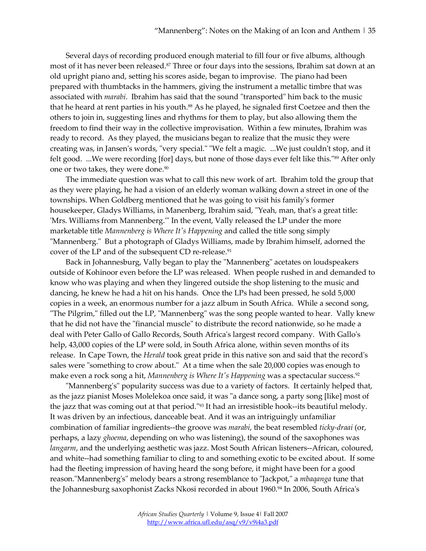Several days of recording produced enough material to fill four or five albums, although most of it has never been released.<sup>87</sup> Three or four days into the sessions, Ibrahim sat down at an old upright piano and, setting his scores aside, began to improvise. The piano had been prepared with thumbtacks in the hammers, giving the instrument a metallic timbre that was associated with *marabi*. Ibrahim has said that the sound "transported" him back to the music that he heard at rent parties in his youth.<sup>88</sup> As he played, he signaled first Coetzee and then the others to join in, suggesting lines and rhythms for them to play, but also allowing them the freedom to find their way in the collective improvisation. Within a few minutes, Ibrahim was ready to record. As they played, the musicians began to realize that the music they were creating was, in Jansen's words, "very special." "We felt a magic. ...We just couldn't stop, and it felt good. ...We were recording [for] days, but none of those days ever felt like this.["89](http://www.africa.ufl.edu/asq/v9/v9i4a3.htm#_edn89) After only one or two takes, they were done.<sup>90</sup>

The immediate question was what to call this new work of art. Ibrahim told the group that as they were playing, he had a vision of an elderly woman walking down a street in one of the townships. When Goldberg mentioned that he was going to visit his family's former housekeeper, Gladys Williams, in Manenberg, Ibrahim said, "Yeah, man, that's a great title: 'Mrs. Williams from Mannenberg.'" In the event, Vally released the LP under the more marketable title *Mannenberg is Where It's Happening* and called the title song simply "Mannenberg." But a photograph of Gladys Williams, made by Ibrahim himself, adorned the cover of the LP and of the subsequent CD re-release.<sup>91</sup>

Back in Johannesburg, Vally began to play the "Mannenberg" acetates on loudspeakers outside of Kohinoor even before the LP was released. When people rushed in and demanded to know who was playing and when they lingered outside the shop listening to the music and dancing, he knew he had a hit on his hands. Once the LPs had been pressed, he sold 5,000 copies in a week, an enormous number for a jazz album in South Africa. While a second song, "The Pilgrim," filled out the LP, "Mannenberg" was the song people wanted to hear. Vally knew that he did not have the "financial muscle" to distribute the record nationwide, so he made a deal with Peter Gallo of Gallo Records, South Africa's largest record company. With Gallo's help, 43,000 copies of the LP were sold, in South Africa alone, within seven months of its release. In Cape Town, the *Herald* took great pride in this native son and said that the record's sales were "something to crow about." At a time when the sale 20,000 copies was enough to make even a rock song a hit, *Mannenberg is Where It's Happening* was a spectacular success.<sup>92</sup>

"Mannenberg's" popularity success was due to a variety of factors. It certainly helped that, as the jazz pianist Moses Molelekoa once said, it was "a dance song, a party song [like] most of the jazz that was coming out at that period.["93](http://www.africa.ufl.edu/asq/v9/v9i4a3.htm#_edn93) It had an irresistible hook--its beautiful melody. It was driven by an infectious, danceable beat. And it was an intriguingly unfamiliar combination of familiar ingredients--the groove was *marabi*, the beat resembled *ticky-draai* (or, perhaps, a lazy *ghoema*, depending on who was listening), the sound of the saxophones was *langarm*, and the underlying aesthetic was jazz. Most South African listeners--African, coloured, and white--had something familiar to cling to and something exotic to be excited about. If some had the fleeting impression of having heard the song before, it might have been for a good reason."Mannenberg's" melody bears a strong resemblance to "Jackpot," a *mbaqanga* tune that the Johannesburg saxophonist Zacks Nkosi recorded in about 1960.<sup>94</sup> In 2006, South Africa's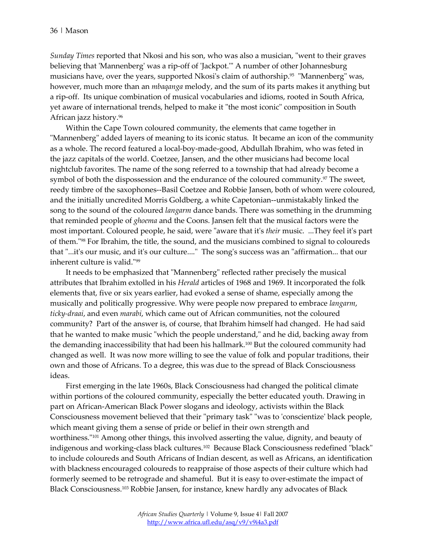*Sunday Times* reported that Nkosi and his son, who was also a musician, "went to their graves believing that 'Mannenberg' was a rip-off of 'Jackpot.'" A number of other Johannesburg musicians have, over the years, supported Nkosi's claim of authorship.<sup>95</sup> "Mannenberg" was, however, much more than an *mbaqanga* melody, and the sum of its parts makes it anything but a rip-off. Its unique combination of musical vocabularies and idioms, rooted in South Africa, yet aware of international trends, helped to make it "the most iconic" composition in South African jazz history[.96](http://www.africa.ufl.edu/asq/v9/v9i4a3.htm#_edn96)

Within the Cape Town coloured community, the elements that came together in "Mannenberg" added layers of meaning to its iconic status. It became an icon of the community as a whole. The record featured a local-boy-made-good, Abdullah Ibrahim, who was feted in the jazz capitals of the world. Coetzee, Jansen, and the other musicians had become local nightclub favorites. The name of the song referred to a township that had already become a symbol of both the dispossession and the endurance of the coloured community.<sup>97</sup> The sweet, reedy timbre of the saxophones--Basil Coetzee and Robbie Jansen, both of whom were coloured, and the initially uncredited Morris Goldberg, a white Capetonian--unmistakably linked the song to the sound of the coloured *langarm* dance bands. There was something in the drumming that reminded people of *ghoema* and the Coons. Jansen felt that the musical factors were the most important. Coloured people, he said, were "aware that it's *their* music. ...They feel it's part of them.["98](http://www.africa.ufl.edu/asq/v9/v9i4a3.htm#_edn98) For Ibrahim, the title, the sound, and the musicians combined to signal to coloureds that "...it's our music, and it's our culture...." The song's success was an "affirmation... that our inherent culture is valid.["99](http://www.africa.ufl.edu/asq/v9/v9i4a3.htm#_edn99)

It needs to be emphasized that "Mannenberg" reflected rather precisely the musical attributes that Ibrahim extolled in his *Herald* articles of 1968 and 1969. It incorporated the folk elements that, five or six years earlier, had evoked a sense of shame, especially among the musically and politically progressive. Why were people now prepared to embrace *langarm*, *ticky-draai*, and even *marabi*, which came out of African communities, not the coloured community? Part of the answer is, of course, that Ibrahim himself had changed. He had said that he wanted to make music "which the people understand," and he did, backing away from the demanding inaccessibility that had been his hallmark.<sup>100</sup> But the coloured community had changed as well. It was now more willing to see the value of folk and popular traditions, their own and those of Africans. To a degree, this was due to the spread of Black Consciousness ideas.

First emerging in the late 1960s, Black Consciousness had changed the political climate within portions of the coloured community, especially the better educated youth. Drawing in part on African-American Black Power slogans and ideology, activists within the Black Consciousness movement believed that their "primary task" "was to 'conscientize' black people, which meant giving them a sense of pride or belief in their own strength and worthiness.["101](http://www.africa.ufl.edu/asq/v9/v9i4a3.htm#_edn101) Among other things, this involved asserting the value, dignity, and beauty of indigenous and working-class black cultures[.102](http://www.africa.ufl.edu/asq/v9/v9i4a3.htm#_edn102) Because Black Consciousness redefined "black" to include coloureds and South Africans of Indian descent, as well as Africans, an identification with blackness encouraged coloureds to reappraise of those aspects of their culture which had formerly seemed to be retrograde and shameful. But it is easy to over-estimate the impact of Black Consciousness[.103](http://www.africa.ufl.edu/asq/v9/v9i4a3.htm#_edn103) Robbie Jansen, for instance, knew hardly any advocates of Black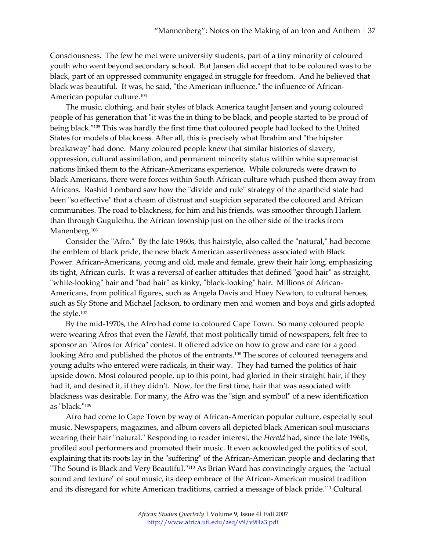Consciousness. The few he met were university students, part of a tiny minority of coloured youth who went beyond secondary school. But Jansen did accept that to be coloured was to be black, part of an oppressed community engaged in struggle for freedom. And he believed that black was beautiful. It was, he said, "the American influence," the influence of African-American popular culture[.104](http://www.africa.ufl.edu/asq/v9/v9i4a3.htm#_edn104)

The music, clothing, and hair styles of black America taught Jansen and young coloured people of his generation that "it was the in thing to be black, and people started to be proud of being black.["105](http://www.africa.ufl.edu/asq/v9/v9i4a3.htm#_edn105) This was hardly the first time that coloured people had looked to the United States for models of blackness. After all, this is precisely what Ibrahim and "the hipster breakaway" had done. Many coloured people knew that similar histories of slavery, oppression, cultural assimilation, and permanent minority status within white supremacist nations linked them to the African-Americans experience. While coloureds were drawn to black Americans, there were forces within South African culture which pushed them away from Africans. Rashid Lombard saw how the "divide and rule" strategy of the apartheid state had been "so effective" that a chasm of distrust and suspicion separated the coloured and African communities. The road to blackness, for him and his friends, was smoother through Harlem than through Gugulethu, the African township just on the other side of the tracks from Manenberg.<sup>106</sup>

Consider the "Afro." By the late 1960s, this hairstyle, also called the "natural," had become the emblem of black pride, the new black American assertiveness associated with Black Power. African-Americans, young and old, male and female, grew their hair long, emphasizing its tight, African curls. It was a reversal of earlier attitudes that defined "good hair" as straight, "white-looking" hair and "bad hair" as kinky, "black-looking" hair. Millions of African-Americans, from political figures, such as Angela Davis and Huey Newton, to cultural heroes, such as Sly Stone and Michael Jackson, to ordinary men and women and boys and girls adopted the style[.107](http://www.africa.ufl.edu/asq/v9/v9i4a3.htm#_edn107)

By the mid-1970s, the Afro had come to coloured Cape Town. So many coloured people were wearing Afros that even the *Herald*, that most politically timid of newspapers, felt free to sponsor an "Afros for Africa" contest. It offered advice on how to grow and care for a good looking Afro and published the photos of the entrants.<sup>108</sup> The scores of coloured teenagers and young adults who entered were radicals, in their way. They had turned the politics of hair upside down. Most coloured people, up to this point, had gloried in their straight hair, if they had it, and desired it, if they didn't. Now, for the first time, hair that was associated with blackness was desirable. For many, the Afro was the "sign and symbol" of a new identification as "black.["109](http://www.africa.ufl.edu/asq/v9/v9i4a3.htm#_edn109)

Afro had come to Cape Town by way of African-American popular culture, especially soul music. Newspapers, magazines, and album covers all depicted black American soul musicians wearing their hair "natural." Responding to reader interest, the *Herald* had, since the late 1960s, profiled soul performers and promoted their music. It even acknowledged the politics of soul, explaining that its roots lay in the "suffering" of the African-American people and declaring that "The Sound is Black and Very Beautiful.["110](http://www.africa.ufl.edu/asq/v9/v9i4a3.htm#_edn110) As Brian Ward has convincingly argues, the "actual sound and texture" of soul music, its deep embrace of the African-American musical tradition and its disregard for white American traditions, carried a message of black prid[e.111](http://www.africa.ufl.edu/asq/v9/v9i4a3.htm#_edn111) Cultural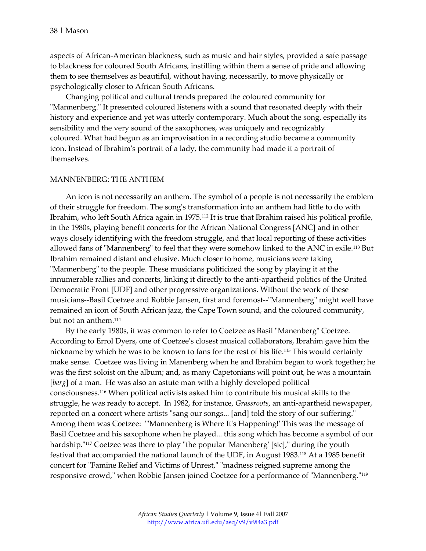aspects of African-American blackness, such as music and hair styles, provided a safe passage to blackness for coloured South Africans, instilling within them a sense of pride and allowing them to see themselves as beautiful, without having, necessarily, to move physically or psychologically closer to African South Africans.

Changing political and cultural trends prepared the coloured community for "Mannenberg." It presented coloured listeners with a sound that resonated deeply with their history and experience and yet was utterly contemporary. Much about the song, especially its sensibility and the very sound of the saxophones, was uniquely and recognizably coloured. What had begun as an improvisation in a recording studio became a community icon. Instead of Ibrahim's portrait of a lady, the community had made it a portrait of themselves.

#### MANNENBERG: THE ANTHEM

An icon is not necessarily an anthem. The symbol of a people is not necessarily the emblem of their struggle for freedom. The song's transformation into an anthem had little to do with Ibrahim, who left South Africa again in 1975[.112](http://www.africa.ufl.edu/asq/v9/v9i4a3.htm#_edn112) It is true that Ibrahim raised his political profile, in the 1980s, playing benefit concerts for the African National Congress [ANC] and in other ways closely identifying with the freedom struggle, and that local reporting of these activities allowed fans of "Mannenberg" to feel that they were somehow linked to the ANC in exile[.113](http://www.africa.ufl.edu/asq/v9/v9i4a3.htm#_edn113) But Ibrahim remained distant and elusive. Much closer to home, musicians were taking "Mannenberg" to the people. These musicians politicized the song by playing it at the innumerable rallies and concerts, linking it directly to the anti-apartheid politics of the United Democratic Front [UDF] and other progressive organizations. Without the work of these musicians--Basil Coetzee and Robbie Jansen, first and foremost--"Mannenberg" might well have remained an icon of South African jazz, the Cape Town sound, and the coloured community, but not an anthem[.114](http://www.africa.ufl.edu/asq/v9/v9i4a3.htm#_edn114)

By the early 1980s, it was common to refer to Coetzee as Basil "Manenberg" Coetzee. According to Errol Dyers, one of Coetzee's closest musical collaborators, Ibrahim gave him the nickname by which he was to be known to fans for the rest of his life[.115](http://www.africa.ufl.edu/asq/v9/v9i4a3.htm#_edn115) This would certainly make sense. Coetzee was living in Manenberg when he and Ibrahim began to work together; he was the first soloist on the album; and, as many Capetonians will point out, he was a mountain [*berg*] of a man. He was also an astute man with a highly developed political consciousness[.116](http://www.africa.ufl.edu/asq/v9/v9i4a3.htm#_edn116) When political activists asked him to contribute his musical skills to the struggle, he was ready to accept. In 1982, for instance, *Grassroots*, an anti-apartheid newspaper, reported on a concert where artists "sang our songs... [and] told the story of our suffering." Among them was Coetzee: "'Mannenberg is Where It's Happening!' This was the message of Basil Coetzee and his saxophone when he played... this song which has become a symbol of our hardship."<sup>117</sup> Coetzee was there to play "the popular 'Manenberg' [sic]," during the youth festival that accompanied the national launch of the UDF, in August 1983[.118](http://www.africa.ufl.edu/asq/v9/v9i4a3.htm#_edn118) At a 1985 benefit concert for "Famine Relief and Victims of Unrest," "madness reigned supreme among the responsive crowd," when Robbie Jansen joined Coetzee for a performance of "Mannenberg.["119](http://www.africa.ufl.edu/asq/v9/v9i4a3.htm#_edn119)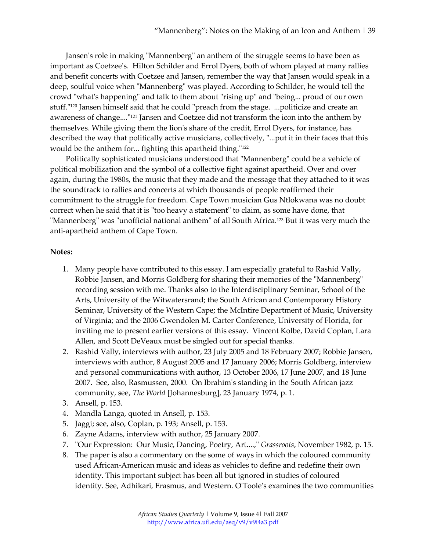Jansen's role in making "Mannenberg" an anthem of the struggle seems to have been as important as Coetzee's. Hilton Schilder and Errol Dyers, both of whom played at many rallies and benefit concerts with Coetzee and Jansen, remember the way that Jansen would speak in a deep, soulful voice when "Mannenberg" was played. According to Schilder, he would tell the crowd "what's happening" and talk to them about "rising up" and "being... proud of our own stuff.["120](http://www.africa.ufl.edu/asq/v9/v9i4a3.htm#_edn120) Jansen himself said that he could "preach from the stage. ...politicize and create an awareness of change....["121](http://www.africa.ufl.edu/asq/v9/v9i4a3.htm#_edn121) Jansen and Coetzee did not transform the icon into the anthem by themselves. While giving them the lion's share of the credit, Errol Dyers, for instance, has described the way that politically active musicians, collectively, "...put it in their faces that this would be the anthem for... fighting this apartheid thing.["122](http://www.africa.ufl.edu/asq/v9/v9i4a3.htm#_edn122)

Politically sophisticated musicians understood that "Mannenberg" could be a vehicle of political mobilization and the symbol of a collective fight against apartheid. Over and over again, during the 1980s, the music that they made and the message that they attached to it was the soundtrack to rallies and concerts at which thousands of people reaffirmed their commitment to the struggle for freedom. Cape Town musician Gus Ntlokwana was no doubt correct when he said that it is "too heavy a statement" to claim, as some have done, that "Mannenberg" was "unofficial national anthem" of all South Africa.<sup>123</sup> But it was very much the anti-apartheid anthem of Cape Town.

### **Notes:**

- 1. Many people have contributed to this essay. I am especially grateful to Rashid Vally, Robbie Jansen, and Morris Goldberg for sharing their memories of the "Mannenberg" recording session with me. Thanks also to the Interdisciplinary Seminar, School of the Arts, University of the Witwatersrand; the South African and Contemporary History Seminar, University of the Western Cape; the McIntire Department of Music, University of Virginia; and the 2006 Gwendolen M. Carter Conference, University of Florida, for inviting me to present earlier versions of this essay. Vincent Kolbe, David Coplan, Lara Allen, and Scott DeVeaux must be singled out for special thanks.
- 2. Rashid Vally, interviews with author, 23 July 2005 and 18 February 2007; Robbie Jansen, interviews with author, 8 August 2005 and 17 January 2006; Morris Goldberg, interview and personal communications with author, 13 October 2006, 17 June 2007, and 18 June 2007. See, also, Rasmussen, 2000. On Ibrahim's standing in the South African jazz community, see, *The World* [Johannesburg], 23 January 1974, p. 1.
- 3. Ansell, p. 153.
- 4. Mandla Langa, quoted in Ansell, p. 153.
- 5. Jaggi; see, also, Coplan, p. 193; Ansell, p. 153.
- 6. Zayne Adams, interview with author, 25 January 2007.
- 7. "Our Expression: Our Music, Dancing, Poetry, Art....," *Grassroots*, November 1982, p. 15.
- 8. The paper is also a commentary on the some of ways in which the coloured community used African-American music and ideas as vehicles to define and redefine their own identity. This important subject has been all but ignored in studies of coloured identity. See, Adhikari, Erasmus, and Western. O'Toole's examines the two communities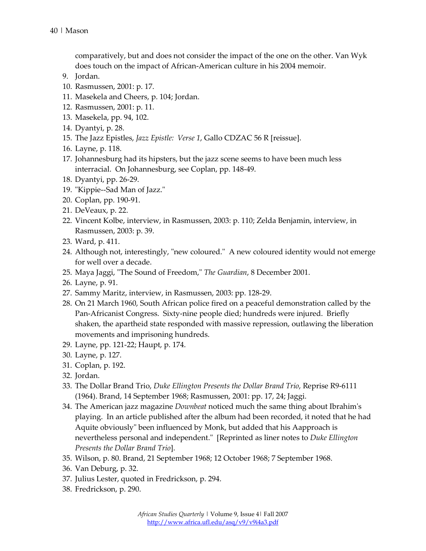comparatively, but and does not consider the impact of the one on the other. Van Wyk does touch on the impact of African-American culture in his 2004 memoir.

- 9. Jordan.
- 10. Rasmussen, 2001: p. 17.
- 11. Masekela and Cheers, p. 104; Jordan.
- 12. Rasmussen, 2001: p. 11.
- 13. Masekela, pp. 94, 102.
- 14. Dyantyi, p. 28.
- 15. The Jazz Epistles, *Jazz Epistle: Verse 1*, Gallo CDZAC 56 R [reissue].
- 16. Layne, p. 118.
- 17. Johannesburg had its hipsters, but the jazz scene seems to have been much less interracial. On Johannesburg, see Coplan, pp. 148-49.
- 18. Dyantyi, pp. 26-29.
- 19. "Kippie--Sad Man of Jazz."
- 20. Coplan, pp. 190-91.
- 21. DeVeaux, p. 22.
- 22. Vincent Kolbe, interview, in Rasmussen, 2003: p. 110; Zelda Benjamin, interview, in Rasmussen, 2003: p. 39.
- 23. Ward, p. 411.
- 24. Although not, interestingly, "new coloured." A new coloured identity would not emerge for well over a decade.
- 25. Maya Jaggi, "The Sound of Freedom," *The Guardian*, 8 December 2001.
- 26. Layne, p. 91.
- 27. Sammy Maritz, interview, in Rasmussen, 2003: pp. 128-29.
- 28. On 21 March 1960, South African police fired on a peaceful demonstration called by the Pan-Africanist Congress. Sixty-nine people died; hundreds were injured. Briefly shaken, the apartheid state responded with massive repression, outlawing the liberation movements and imprisoning hundreds.
- 29. Layne, pp. 121-22; Haupt, p. 174.
- 30. Layne, p. 127.
- 31. Coplan, p. 192.
- 32. Jordan.
- 33. The Dollar Brand Trio, *Duke Ellington Presents the Dollar Brand Trio*, Reprise R9-6111 (1964). Brand, 14 September 1968; Rasmussen, 2001: pp. 17, 24; Jaggi.
- 34. The American jazz magazine *Downbeat* noticed much the same thing about Ibrahim's playing. In an article published after the album had been recorded, it noted that he had Aquite obviously" been influenced by Monk, but added that his Aapproach is nevertheless personal and independent." [Reprinted as liner notes to *Duke Ellington Presents the Dollar Brand Trio*].
- 35. Wilson, p. 80. Brand, 21 September 1968; 12 October 1968; 7 September 1968.
- 36. Van Deburg, p. 32.
- 37. Julius Lester, quoted in Fredrickson, p. 294.
- 38. Fredrickson, p. 290.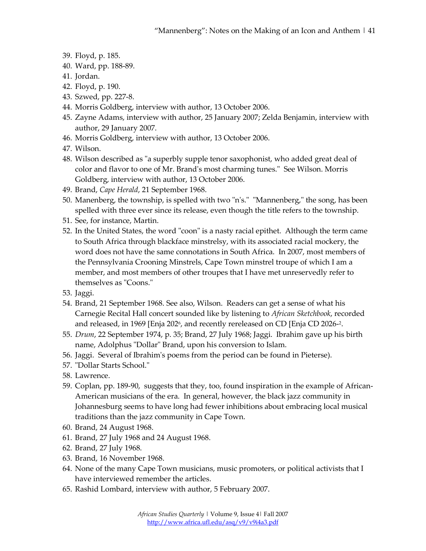- 39. Floyd, p. 185.
- 40. Ward, pp. 188-89.
- 41. Jordan.
- 42. Floyd, p. 190.
- 43. Szwed, pp. 227-8.
- 44. Morris Goldberg, interview with author, 13 October 2006.
- 45. Zayne Adams, interview with author, 25 January 2007; Zelda Benjamin, interview with author, 29 January 2007.
- 46. Morris Goldberg, interview with author, 13 October 2006.
- 47. Wilson.
- 48. Wilson described as "a superbly supple tenor saxophonist, who added great deal of color and flavor to one of Mr. Brand's most charming tunes." See Wilson. Morris Goldberg, interview with author, 13 October 2006.
- 49. Brand, *Cape Herald*, 21 September 1968.
- 50. Manenberg, the township, is spelled with two "n's." "Mannenberg," the song, has been spelled with three ever since its release, even though the title refers to the township.
- 51. See, for instance, Martin.
- 52. In the United States, the word "coon" is a nasty racial epithet. Although the term came to South Africa through blackface minstrelsy, with its associated racial mockery, the word does not have the same connotations in South Africa. In 2007, most members of the Pennsylvania Crooning Minstrels, Cape Town minstrel troupe of which I am a member, and most members of other troupes that I have met unreservedly refer to themselves as "Coons."
- 53. Jaggi.
- 54. Brand, 21 September 1968. See also, Wilson. Readers can get a sense of what his Carnegie Recital Hall concert sounded like by listening to *African Sketchbook*, recorded and released, in 1969 [Enja 202 $\frac{6}{2}$ , and recently rereleased on CD [Enja CD 2026-2.
- 55. *Drum*, 22 September 1974, p. 35; Brand, 27 July 1968; Jaggi. Ibrahim gave up his birth name, Adolphus "Dollar" Brand, upon his conversion to Islam.
- 56. Jaggi. Several of Ibrahim's poems from the period can be found in Pieterse).
- 57. "Dollar Starts School."
- 58. Lawrence.
- 59. Coplan, pp. 189-90, suggests that they, too, found inspiration in the example of African-American musicians of the era. In general, however, the black jazz community in Johannesburg seems to have long had fewer inhibitions about embracing local musical traditions than the jazz community in Cape Town.
- 60. Brand, 24 August 1968.
- 61. Brand, 27 July 1968 and 24 August 1968.
- 62. Brand, 27 July 1968.
- 63. Brand, 16 November 1968.
- 64. None of the many Cape Town musicians, music promoters, or political activists that I have interviewed remember the articles.
- 65. Rashid Lombard, interview with author, 5 February 2007.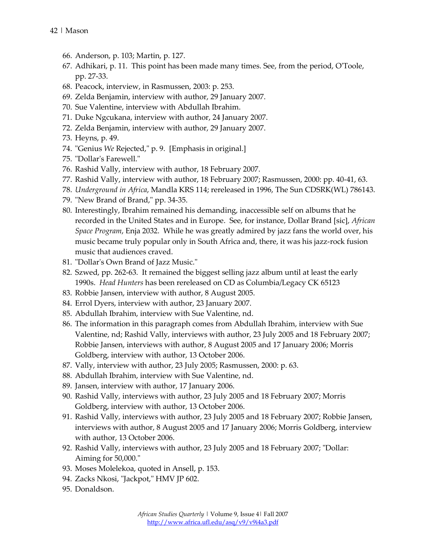- 66. Anderson, p. 103; Martin, p. 127.
- 67. Adhikari, p. 11. This point has been made many times. See, from the period, O'Toole, pp. 27-33.
- 68. Peacock, interview, in Rasmussen, 2003: p. 253.
- 69. Zelda Benjamin, interview with author, 29 January 2007.
- 70. Sue Valentine, interview with Abdullah Ibrahim.
- 71. Duke Ngcukana, interview with author, 24 January 2007.
- 72. Zelda Benjamin, interview with author, 29 January 2007.
- 73. Heyns, p. 49.
- 74. "Genius *We* Rejected," p. 9. [Emphasis in original.]
- 75. "Dollar's Farewell."
- 76. Rashid Vally, interview with author, 18 February 2007.
- 77. Rashid Vally, interview with author, 18 February 2007; Rasmussen, 2000: pp. 40-41, 63.
- 78. *Underground in Africa*, Mandla KRS 114; rereleased in 1996, The Sun CDSRK(WL) 786143.
- 79. "New Brand of Brand," pp. 34-35.
- 80. Interestingly, Ibrahim remained his demanding, inaccessible self on albums that he recorded in the United States and in Europe. See, for instance, Dollar Brand [sic], *African Space Program*, Enja 2032. While he was greatly admired by jazz fans the world over, his music became truly popular only in South Africa and, there, it was his jazz-rock fusion music that audiences craved.
- 81. "Dollar's Own Brand of Jazz Music."
- 82. Szwed, pp. 262-63. It remained the biggest selling jazz album until at least the early 1990s. *Head Hunters* has been rereleased on CD as Columbia/Legacy CK 65123
- 83. Robbie Jansen, interview with author, 8 August 2005.
- 84. Errol Dyers, interview with author, 23 January 2007.
- 85. Abdullah Ibrahim, interview with Sue Valentine, nd.
- 86. The information in this paragraph comes from Abdullah Ibrahim, interview with Sue Valentine, nd; Rashid Vally, interviews with author, 23 July 2005 and 18 February 2007; Robbie Jansen, interviews with author, 8 August 2005 and 17 January 2006; Morris Goldberg, interview with author, 13 October 2006.
- 87. Vally, interview with author, 23 July 2005; Rasmussen, 2000: p. 63.
- 88. Abdullah Ibrahim, interview with Sue Valentine, nd.
- 89. Jansen, interview with author, 17 January 2006.
- 90. Rashid Vally, interviews with author, 23 July 2005 and 18 February 2007; Morris Goldberg, interview with author, 13 October 2006.
- 91. Rashid Vally, interviews with author, 23 July 2005 and 18 February 2007; Robbie Jansen, interviews with author, 8 August 2005 and 17 January 2006; Morris Goldberg, interview with author, 13 October 2006.
- 92. Rashid Vally, interviews with author, 23 July 2005 and 18 February 2007; "Dollar: Aiming for 50,000."
- 93. Moses Molelekoa, quoted in Ansell, p. 153.
- 94. Zacks Nkosi, "Jackpot," HMV JP 602.
- 95. Donaldson.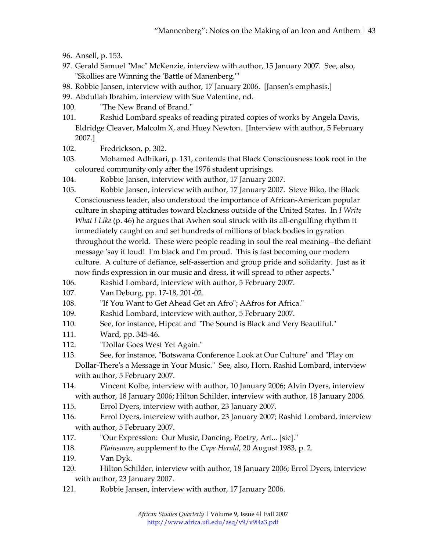- 96. Ansell, p. 153.
- 97. Gerald Samuel "Mac" McKenzie, interview with author, 15 January 2007. See, also, "Skollies are Winning the 'Battle of Manenberg.'"
- 98. Robbie Jansen, interview with author, 17 January 2006. [Jansen's emphasis.]
- 99. Abdullah Ibrahim, interview with Sue Valentine, nd.
- 100. "The New Brand of Brand."
- 101. Rashid Lombard speaks of reading pirated copies of works by Angela Davis, Eldridge Cleaver, Malcolm X, and Huey Newton. [Interview with author, 5 February 2007.]
- 102. Fredrickson, p. 302.
- 103. Mohamed Adhikari, p. 131, contends that Black Consciousness took root in the coloured community only after the 1976 student uprisings.
- 104. Robbie Jansen, interview with author, 17 January 2007.
- 105. Robbie Jansen, interview with author, 17 January 2007. Steve Biko, the Black Consciousness leader, also understood the importance of African-American popular culture in shaping attitudes toward blackness outside of the United States. In *I Write What I Like* (p. 46) he argues that Awhen soul struck with its all-engulfing rhythm it immediately caught on and set hundreds of millions of black bodies in gyration throughout the world. These were people reading in soul the real meaning--the defiant message 'say it loud! I'm black and I'm proud. This is fast becoming our modern culture. A culture of defiance, self-assertion and group pride and solidarity. Just as it now finds expression in our music and dress, it will spread to other aspects."
- 106. Rashid Lombard, interview with author, 5 February 2007.
- 107. Van Deburg, pp. 17-18, 201-02.
- 108. "If You Want to Get Ahead Get an Afro"; AAfros for Africa."
- 109. Rashid Lombard, interview with author, 5 February 2007.
- 110. See, for instance, Hipcat and "The Sound is Black and Very Beautiful."
- 111. Ward, pp. 345-46.
- 112. "Dollar Goes West Yet Again."
- 113. See, for instance, "Botswana Conference Look at Our Culture" and "Play on Dollar-There's a Message in Your Music." See, also, Horn. Rashid Lombard, interview with author, 5 February 2007.
- 114. Vincent Kolbe, interview with author, 10 January 2006; Alvin Dyers, interview with author, 18 January 2006; Hilton Schilder, interview with author, 18 January 2006.
- 115. Errol Dyers, interview with author, 23 January 2007.
- 116. Errol Dyers, interview with author, 23 January 2007; Rashid Lombard, interview with author, 5 February 2007.
- 117. "Our Expression: Our Music, Dancing, Poetry, Art... [sic]."
- 118. *Plainsman*, supplement to the *Cape Herald*, 20 August 1983, p. 2.
- 119. Van Dyk.
- 120. Hilton Schilder, interview with author, 18 January 2006; Errol Dyers, interview with author, 23 January 2007.
- 121. Robbie Jansen, interview with author, 17 January 2006.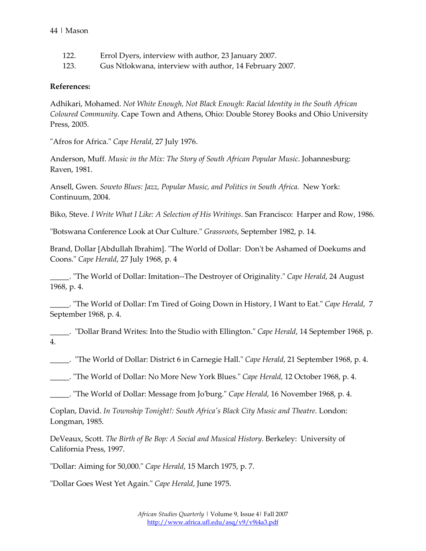- 122. Errol Dyers, interview with author, 23 January 2007.
- 123. Gus Ntlokwana, interview with author, 14 February 2007.

## **References:**

Adhikari, Mohamed. *Not White Enough, Not Black Enough: Racial Identity in the South African Coloured Community*. Cape Town and Athens, Ohio: Double Storey Books and Ohio University Press, 2005.

"Afros for Africa." *Cape Herald*, 27 July 1976.

Anderson, Muff. *Music in the Mix: The Story of South African Popular Music*. Johannesburg: Raven, 1981.

Ansell, Gwen. *Soweto Blues: Jazz, Popular Music, and Politics in South Africa.* New York: Continuum, 2004.

Biko, Steve. *I Write What I Like: A Selection of His Writings*. San Francisco: Harper and Row, 1986.

"Botswana Conference Look at Our Culture." *Grassroots*, September 1982, p. 14.

Brand, Dollar [Abdullah Ibrahim]. "The World of Dollar: Don't be Ashamed of Doekums and Coons." *Cape Herald*, 27 July 1968, p. 4

\_\_\_\_\_. "The World of Dollar: Imitation--The Destroyer of Originality." *Cape Herald*, 24 August 1968, p. 4.

\_\_\_\_\_. "The World of Dollar: I'm Tired of Going Down in History, I Want to Eat." *Cape Herald*, 7 September 1968, p. 4.

\_\_\_\_\_. "Dollar Brand Writes: Into the Studio with Ellington." *Cape Herald*, 14 September 1968, p. 4.

\_\_\_\_\_. "The World of Dollar: District 6 in Carnegie Hall." *Cape Herald*, 21 September 1968, p. 4.

\_\_\_\_\_. "The World of Dollar: No More New York Blues." *Cape Herald*, 12 October 1968, p. 4.

\_\_\_\_\_. "The World of Dollar: Message from Jo'burg." *Cape Herald*, 16 November 1968, p. 4.

Coplan, David. *In Township Tonight!: South Africa's Black City Music and Theatre*. London: Longman, 1985.

DeVeaux, Scott. *The Birth of Be Bop: A Social and Musical History*. Berkeley: University of California Press, 1997.

"Dollar: Aiming for 50,000." *Cape Herald*, 15 March 1975, p. 7.

"Dollar Goes West Yet Again." *Cape Herald*, June 1975.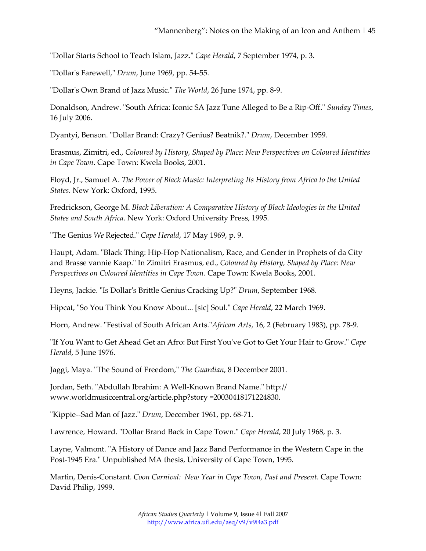"Dollar Starts School to Teach Islam, Jazz." *Cape Herald*, 7 September 1974, p. 3.

"Dollar's Farewell," *Drum*, June 1969, pp. 54-55.

"Dollar's Own Brand of Jazz Music." *The World*, 26 June 1974, pp. 8-9.

Donaldson, Andrew. "South Africa: Iconic SA Jazz Tune Alleged to Be a Rip-Off." *Sunday Times*, 16 July 2006.

Dyantyi, Benson. "Dollar Brand: Crazy? Genius? Beatnik?." *Drum*, December 1959.

Erasmus, Zimitri, ed., *Coloured by History, Shaped by Place: New Perspectives on Coloured Identities in Cape Town*. Cape Town: Kwela Books, 2001.

Floyd, Jr., Samuel A. *The Power of Black Music: Interpreting Its History from Africa to the United States*. New York: Oxford, 1995.

Fredrickson, George M. *Black Liberation: A Comparative History of Black Ideologies in the United States and South Africa*. New York: Oxford University Press, 1995.

"The Genius *We* Rejected." *Cape Herald*, 17 May 1969, p. 9.

Haupt, Adam. "Black Thing: Hip-Hop Nationalism, Race, and Gender in Prophets of da City and Brasse vannie Kaap." In Zimitri Erasmus, ed., *Coloured by History, Shaped by Place: New Perspectives on Coloured Identities in Cape Town*. Cape Town: Kwela Books, 2001.

Heyns, Jackie. "Is Dollar's Brittle Genius Cracking Up?" *Drum*, September 1968.

Hipcat, "So You Think You Know About... [sic] Soul." *Cape Herald*, 22 March 1969.

Horn, Andrew. "Festival of South African Arts."*African Arts*, 16, 2 (February 1983), pp. 78-9.

"If You Want to Get Ahead Get an Afro: But First You've Got to Get Your Hair to Grow." *Cape Herald*, 5 June 1976.

Jaggi, Maya. "The Sound of Freedom," *The Guardian*, 8 December 2001.

Jordan, Seth. "Abdullah Ibrahim: A Well-Known Brand Name." http:// www.worldmusiccentral.org/article.php?story =20030418171224830.

"Kippie--Sad Man of Jazz." *Drum*, December 1961, pp. 68-71.

Lawrence, Howard. "Dollar Brand Back in Cape Town." *Cape Herald*, 20 July 1968, p. 3.

Layne, Valmont. "A History of Dance and Jazz Band Performance in the Western Cape in the Post-1945 Era." Unpublished MA thesis, University of Cape Town, 1995.

Martin, Denis-Constant. *Coon Carnival: New Year in Cape Town, Past and Present*. Cape Town: David Philip, 1999.